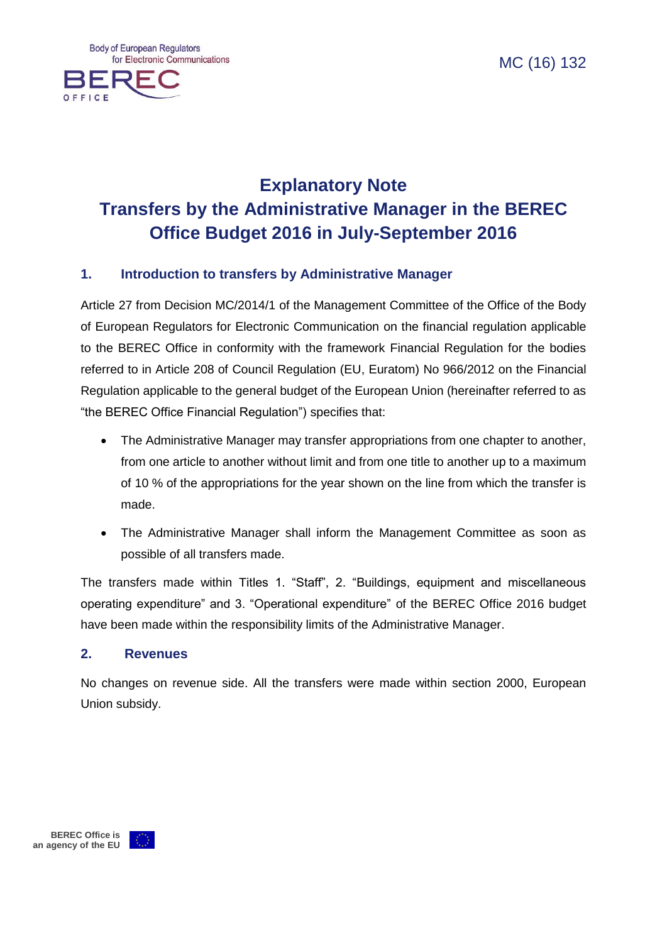OEEICE



#### **1. Introduction to transfers by Administrative Manager**

Article 27 from Decision MC/2014/1 of the Management Committee of the Office of the Body of European Regulators for Electronic Communication on the financial regulation applicable to the BEREC Office in conformity with the framework Financial Regulation for the bodies referred to in Article 208 of Council Regulation (EU, Euratom) No 966/2012 on the Financial Regulation applicable to the general budget of the European Union (hereinafter referred to as "the BEREC Office Financial Regulation") specifies that:

- The Administrative Manager may transfer appropriations from one chapter to another, from one article to another without limit and from one title to another up to a maximum of 10 % of the appropriations for the year shown on the line from which the transfer is made.
- The Administrative Manager shall inform the Management Committee as soon as possible of all transfers made.

The transfers made within Titles 1. "Staff", 2. "Buildings, equipment and miscellaneous operating expenditure" and 3. "Operational expenditure" of the BEREC Office 2016 budget have been made within the responsibility limits of the Administrative Manager.

#### **2. Revenues**

No changes on revenue side. All the transfers were made within section 2000, European Union subsidy.

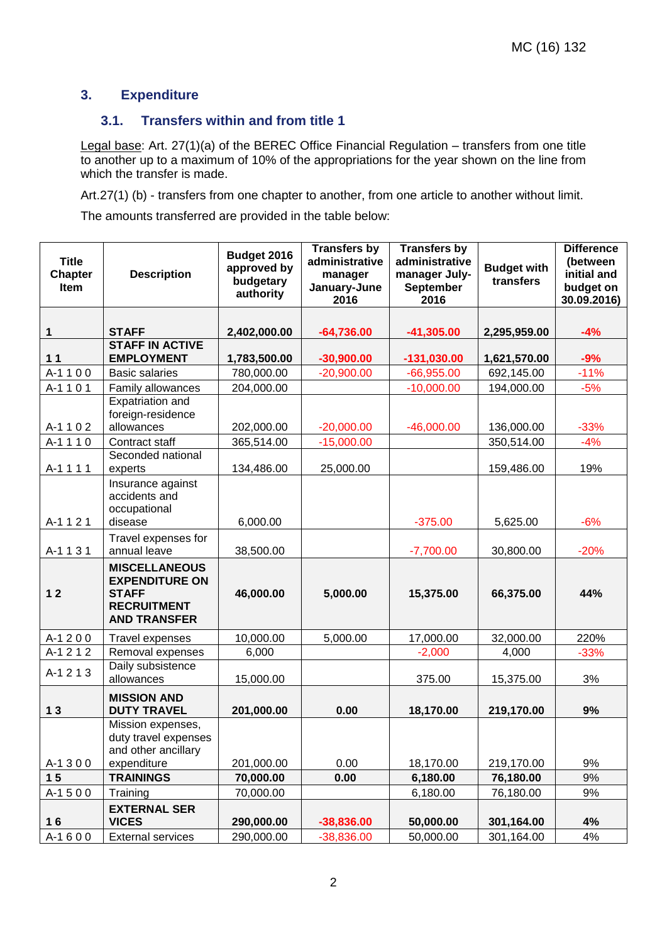# **3. Expenditure**

## **3.1. Transfers within and from title 1**

Legal base: Art. 27(1)(a) of the BEREC Office Financial Regulation – transfers from one title to another up to a maximum of 10% of the appropriations for the year shown on the line from which the transfer is made.

Art.27(1) (b) - transfers from one chapter to another, from one article to another without limit.

The amounts transferred are provided in the table below:

| <b>Title</b><br><b>Chapter</b><br>Item | <b>Description</b>                                                                                         | Budget 2016<br>approved by<br>budgetary<br>authority | <b>Transfers by</b><br>administrative<br>manager<br>January-June<br>2016 | <b>Transfers by</b><br>administrative<br>manager July-<br><b>September</b><br>2016 | <b>Budget with</b><br>transfers | <b>Difference</b><br>(between<br>initial and<br>budget on<br>30.09.2016) |
|----------------------------------------|------------------------------------------------------------------------------------------------------------|------------------------------------------------------|--------------------------------------------------------------------------|------------------------------------------------------------------------------------|---------------------------------|--------------------------------------------------------------------------|
| 1                                      | <b>STAFF</b>                                                                                               | 2,402,000.00                                         | $-64,736.00$                                                             | $-41,305.00$                                                                       | 2,295,959.00                    | $-4%$                                                                    |
| $11$                                   | <b>STAFF IN ACTIVE</b><br><b>EMPLOYMENT</b>                                                                | 1,783,500.00                                         | $-30,900.00$                                                             | $-131,030.00$                                                                      | 1,621,570.00                    | $-9%$                                                                    |
| A-1100                                 | <b>Basic salaries</b>                                                                                      | 780,000.00                                           | $-20,900.00$                                                             | $-66,955.00$                                                                       | 692,145.00                      | $-11%$                                                                   |
| A-1101                                 | Family allowances                                                                                          | 204,000.00                                           |                                                                          | $-10,000.00$                                                                       | 194,000.00                      | $-5%$                                                                    |
| A-1102                                 | Expatriation and<br>foreign-residence<br>allowances                                                        | 202,000.00                                           | $-20,000.00$                                                             | $-46,000.00$                                                                       | 136,000.00                      | $-33%$                                                                   |
| A-1110                                 | Contract staff                                                                                             | 365,514.00                                           | $-15,000.00$                                                             |                                                                                    | 350,514.00                      | $-4%$                                                                    |
| A-1111                                 | Seconded national<br>experts                                                                               | 134,486.00                                           | 25,000.00                                                                |                                                                                    | 159,486.00                      | 19%                                                                      |
| A-1121                                 | Insurance against<br>accidents and<br>occupational<br>disease                                              | 6,000.00                                             |                                                                          | $-375.00$                                                                          | 5,625.00                        | $-6%$                                                                    |
| A-1131                                 | Travel expenses for<br>annual leave                                                                        | 38,500.00                                            |                                                                          | $-7,700.00$                                                                        | 30,800.00                       | $-20%$                                                                   |
| 12                                     | <b>MISCELLANEOUS</b><br><b>EXPENDITURE ON</b><br><b>STAFF</b><br><b>RECRUITMENT</b><br><b>AND TRANSFER</b> | 46,000.00                                            | 5,000.00                                                                 | 15,375.00                                                                          | 66,375.00                       | 44%                                                                      |
| A-1200                                 | Travel expenses                                                                                            | 10,000.00                                            | 5,000.00                                                                 | 17,000.00                                                                          | 32,000.00                       | 220%                                                                     |
| A-1212                                 | Removal expenses                                                                                           | 6,000                                                |                                                                          | $-2,000$                                                                           | 4,000                           | $-33%$                                                                   |
| A-1213                                 | Daily subsistence<br>allowances                                                                            | 15,000.00                                            |                                                                          | 375.00                                                                             | 15,375.00                       | 3%                                                                       |
| 13                                     | <b>MISSION AND</b><br><b>DUTY TRAVEL</b>                                                                   | 201,000.00                                           | 0.00                                                                     | 18,170.00                                                                          | 219,170.00                      | 9%                                                                       |
| A-1300                                 | Mission expenses,<br>duty travel expenses<br>and other ancillary<br>expenditure                            | 201,000.00                                           | 0.00                                                                     | 18,170.00                                                                          | 219,170.00                      | 9%                                                                       |
| 15                                     | <b>TRAININGS</b>                                                                                           | 70,000.00                                            | 0.00                                                                     | 6,180.00                                                                           | 76,180.00                       | 9%                                                                       |
| A-1500                                 | Training                                                                                                   | 70,000.00                                            |                                                                          | 6,180.00                                                                           | 76,180.00                       | 9%                                                                       |
| 16                                     | <b>EXTERNAL SER</b><br><b>VICES</b>                                                                        | 290,000.00                                           | $-38,836.00$                                                             | 50,000.00                                                                          | 301,164.00                      | 4%                                                                       |
| A-1600                                 | <b>External services</b>                                                                                   | 290,000.00                                           | $-38,836.00$                                                             | 50,000.00                                                                          | 301,164.00                      | 4%                                                                       |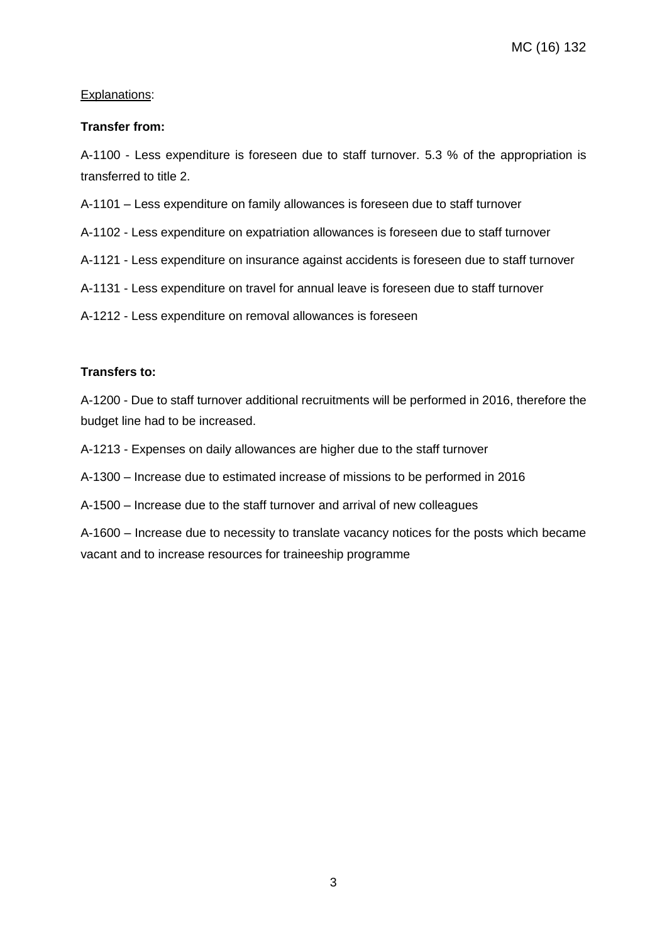#### Explanations:

#### **Transfer from:**

A-1100 - Less expenditure is foreseen due to staff turnover. 5.3 % of the appropriation is transferred to title 2.

A-1101 – Less expenditure on family allowances is foreseen due to staff turnover

A-1102 - Less expenditure on expatriation allowances is foreseen due to staff turnover

A-1121 - Less expenditure on insurance against accidents is foreseen due to staff turnover

A-1131 - Less expenditure on travel for annual leave is foreseen due to staff turnover

A-1212 - Less expenditure on removal allowances is foreseen

#### **Transfers to:**

A-1200 - Due to staff turnover additional recruitments will be performed in 2016, therefore the budget line had to be increased.

A-1213 - Expenses on daily allowances are higher due to the staff turnover

A-1300 – Increase due to estimated increase of missions to be performed in 2016

A-1500 – Increase due to the staff turnover and arrival of new colleagues

A-1600 – Increase due to necessity to translate vacancy notices for the posts which became vacant and to increase resources for traineeship programme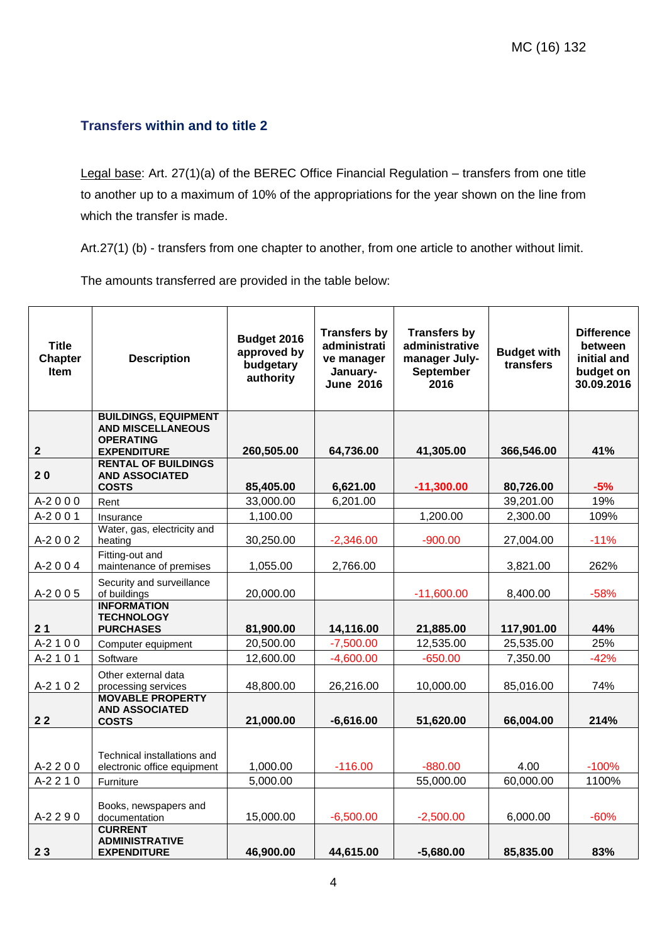# **Transfers within and to title 2**

Legal base: Art. 27(1)(a) of the BEREC Office Financial Regulation – transfers from one title to another up to a maximum of 10% of the appropriations for the year shown on the line from which the transfer is made.

Art.27(1) (b) - transfers from one chapter to another, from one article to another without limit.

The amounts transferred are provided in the table below:

| <b>Title</b><br><b>Chapter</b><br><b>Item</b> | <b>Description</b>                                                  | Budget 2016<br>approved by<br>budgetary<br>authority | <b>Transfers by</b><br>administrati<br>ve manager<br>January-<br><b>June 2016</b> | <b>Transfers by</b><br>administrative<br>manager July-<br><b>September</b><br>2016 | <b>Budget with</b><br>transfers | <b>Difference</b><br>between<br>initial and<br>budget on<br>30.09.2016 |
|-----------------------------------------------|---------------------------------------------------------------------|------------------------------------------------------|-----------------------------------------------------------------------------------|------------------------------------------------------------------------------------|---------------------------------|------------------------------------------------------------------------|
|                                               | <b>BUILDINGS, EQUIPMENT</b><br><b>AND MISCELLANEOUS</b>             |                                                      |                                                                                   |                                                                                    |                                 |                                                                        |
| $\mathbf{2}$                                  | <b>OPERATING</b><br><b>EXPENDITURE</b>                              | 260,505.00                                           | 64,736.00                                                                         | 41,305.00                                                                          | 366,546.00                      | 41%                                                                    |
| 20                                            | <b>RENTAL OF BUILDINGS</b><br><b>AND ASSOCIATED</b><br><b>COSTS</b> | 85,405.00                                            | 6,621.00                                                                          | $-11,300.00$                                                                       | 80,726.00                       | $-5%$                                                                  |
| $A-2000$                                      | Rent                                                                | 33,000.00                                            | 6,201.00                                                                          |                                                                                    | 39,201.00                       | 19%                                                                    |
| $A-2001$                                      | Insurance                                                           | 1,100.00                                             |                                                                                   | 1,200.00                                                                           | 2,300.00                        | 109%                                                                   |
| A-2002                                        | Water, gas, electricity and<br>heating                              | 30,250.00                                            | $-2,346.00$                                                                       | $-900.00$                                                                          | 27,004.00                       | $-11%$                                                                 |
| A-2004                                        | Fitting-out and<br>maintenance of premises                          | 1,055.00                                             | 2,766.00                                                                          |                                                                                    | 3,821.00                        | 262%                                                                   |
| $A-2005$                                      | Security and surveillance<br>of buildings                           | 20,000.00                                            |                                                                                   | $-11,600.00$                                                                       | 8,400.00                        | $-58%$                                                                 |
| 21                                            | <b>INFORMATION</b><br><b>TECHNOLOGY</b><br><b>PURCHASES</b>         | 81,900.00                                            | 14,116.00                                                                         | 21,885.00                                                                          | 117,901.00                      | 44%                                                                    |
| $A-2100$                                      | Computer equipment                                                  | 20,500.00                                            | $-7,500.00$                                                                       | 12,535.00                                                                          | 25,535.00                       | 25%                                                                    |
| $A-2101$                                      | Software                                                            | 12,600.00                                            | $-4,600.00$                                                                       | $-650.00$                                                                          | 7,350.00                        | $-42%$                                                                 |
| A-2102                                        | Other external data<br>processing services                          | 48,800.00                                            | 26,216.00                                                                         | 10,000.00                                                                          | 85,016.00                       | 74%                                                                    |
| 22                                            | <b>MOVABLE PROPERTY</b><br><b>AND ASSOCIATED</b><br><b>COSTS</b>    | 21,000.00                                            | $-6,616.00$                                                                       | 51,620.00                                                                          | 66,004.00                       | 214%                                                                   |
| A-2 2 0 0                                     | Technical installations and<br>electronic office equipment          | 1,000.00                                             | $-116.00$                                                                         | $-880.00$                                                                          | 4.00                            | $-100%$                                                                |
| $A-2210$                                      | Furniture                                                           | 5,000.00                                             |                                                                                   | 55,000.00                                                                          | 60,000.00                       | 1100%                                                                  |
| A-2 2 9 0                                     | Books, newspapers and<br>documentation<br><b>CURRENT</b>            | 15,000.00                                            | $-6,500.00$                                                                       | $-2,500.00$                                                                        | 6,000.00                        | $-60%$                                                                 |
| 23                                            | <b>ADMINISTRATIVE</b><br><b>EXPENDITURE</b>                         | 46,900.00                                            | 44,615.00                                                                         | $-5,680.00$                                                                        | 85,835.00                       | 83%                                                                    |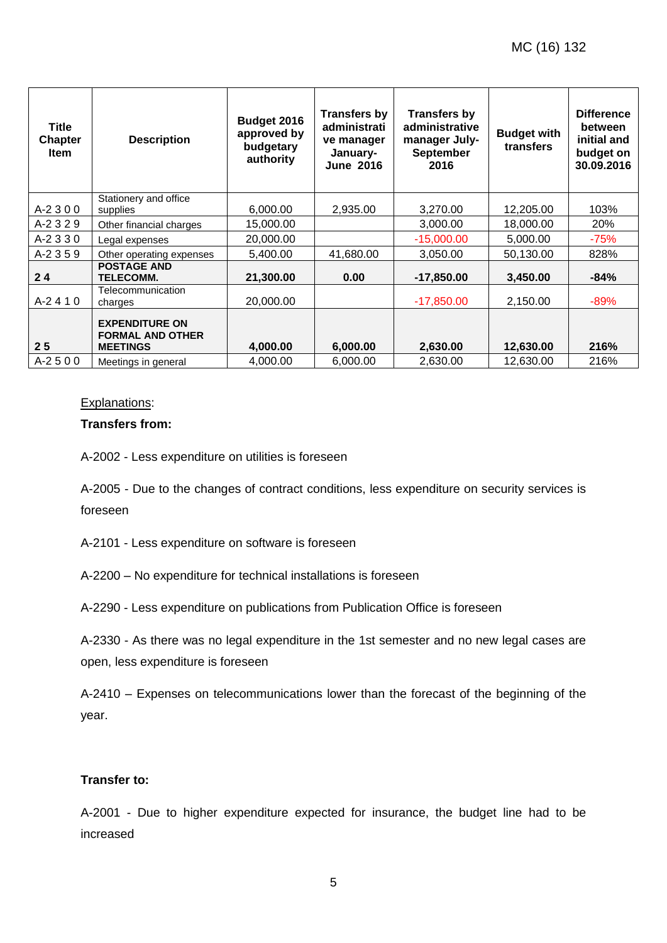| Title<br><b>Chapter</b><br><b>Item</b> | <b>Description</b>                                                  | Budget 2016<br>approved by<br>budgetary<br>authority | <b>Transfers by</b><br>administrati<br>ve manager<br>January-<br><b>June 2016</b> | <b>Transfers by</b><br>administrative<br>manager July-<br><b>September</b><br>2016 | <b>Budget with</b><br>transfers | <b>Difference</b><br>between<br>initial and<br>budget on<br>30.09.2016 |
|----------------------------------------|---------------------------------------------------------------------|------------------------------------------------------|-----------------------------------------------------------------------------------|------------------------------------------------------------------------------------|---------------------------------|------------------------------------------------------------------------|
| $A-2300$                               | Stationery and office<br>supplies                                   | 6,000.00                                             | 2,935.00                                                                          | 3,270.00                                                                           | 12,205.00                       | 103%                                                                   |
| A-2329                                 | Other financial charges                                             | 15,000.00                                            |                                                                                   | 3,000.00                                                                           | 18,000.00                       | <b>20%</b>                                                             |
| $A-2330$                               | Legal expenses                                                      | 20,000.00                                            |                                                                                   | $-15,000.00$                                                                       | 5,000.00                        | $-75%$                                                                 |
| A-2 3 5 9                              | Other operating expenses                                            | 5,400.00                                             | 41,680.00                                                                         | 3,050.00                                                                           | 50,130.00                       | 828%                                                                   |
| 24                                     | <b>POSTAGE AND</b><br><b>TELECOMM.</b>                              | 21,300.00                                            | 0.00                                                                              | $-17,850.00$                                                                       | 3,450.00                        | $-84%$                                                                 |
| $A-2410$                               | Telecommunication<br>charges                                        | 20,000.00                                            |                                                                                   | $-17,850.00$                                                                       | 2,150.00                        | $-89%$                                                                 |
| 25                                     | <b>EXPENDITURE ON</b><br><b>FORMAL AND OTHER</b><br><b>MEETINGS</b> | 4,000.00                                             | 6,000.00                                                                          | 2,630.00                                                                           | 12,630.00                       | 216%                                                                   |
| $A-2500$                               | Meetings in general                                                 | 4,000.00                                             | 6,000.00                                                                          | 2,630.00                                                                           | 12,630.00                       | 216%                                                                   |

#### Explanations:

#### **Transfers from:**

A-2002 - Less expenditure on utilities is foreseen

A-2005 - Due to the changes of contract conditions, less expenditure on security services is foreseen

A-2101 - Less expenditure on software is foreseen

A-2200 – No expenditure for technical installations is foreseen

A-2290 - Less expenditure on publications from Publication Office is foreseen

A-2330 - As there was no legal expenditure in the 1st semester and no new legal cases are open, less expenditure is foreseen

A-2410 – Expenses on telecommunications lower than the forecast of the beginning of the year.

#### **Transfer to:**

A-2001 - Due to higher expenditure expected for insurance, the budget line had to be increased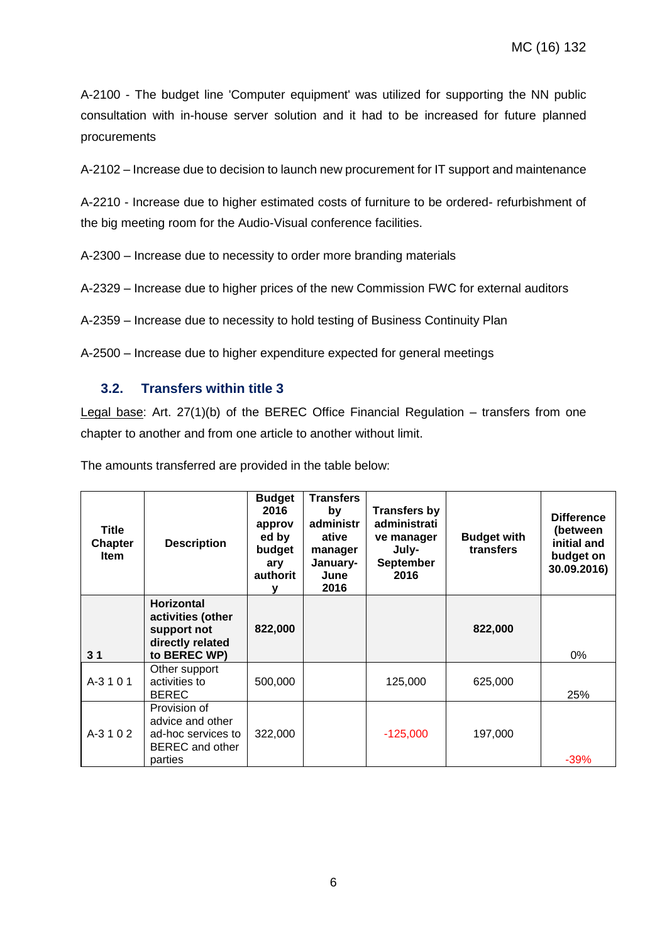A-2100 - The budget line 'Computer equipment' was utilized for supporting the NN public consultation with in-house server solution and it had to be increased for future planned procurements

A-2102 – Increase due to decision to launch new procurement for IT support and maintenance

A-2210 - Increase due to higher estimated costs of furniture to be ordered- refurbishment of the big meeting room for the Audio-Visual conference facilities.

A-2300 – Increase due to necessity to order more branding materials

A-2329 – Increase due to higher prices of the new Commission FWC for external auditors

A-2359 – Increase due to necessity to hold testing of Business Continuity Plan

A-2500 – Increase due to higher expenditure expected for general meetings

#### **3.2. Transfers within title 3**

Legal base: Art. 27(1)(b) of the BEREC Office Financial Regulation – transfers from one chapter to another and from one article to another without limit.

The amounts transferred are provided in the table below:

| <b>Title</b><br><b>Chapter</b><br><b>Item</b> | <b>Description</b>                                                                          | <b>Budget</b><br>2016<br>approv<br>ed by<br>budget<br>ary<br>authorit | <b>Transfers</b><br>by<br>administr<br>ative<br>manager<br>January-<br>June<br>2016 | <b>Transfers by</b><br>administrati<br>ve manager<br>July-<br><b>September</b><br>2016 | <b>Budget with</b><br>transfers | <b>Difference</b><br>(between<br>initial and<br>budget on<br>30.09.2016) |
|-----------------------------------------------|---------------------------------------------------------------------------------------------|-----------------------------------------------------------------------|-------------------------------------------------------------------------------------|----------------------------------------------------------------------------------------|---------------------------------|--------------------------------------------------------------------------|
| 3 <sub>1</sub>                                | <b>Horizontal</b><br>activities (other<br>support not<br>directly related<br>to BEREC WP)   | 822,000                                                               |                                                                                     |                                                                                        | 822,000                         | 0%                                                                       |
| A-3101                                        | Other support<br>activities to<br><b>BEREC</b>                                              | 500,000                                                               |                                                                                     | 125,000                                                                                | 625,000                         | 25%                                                                      |
| $A-3102$                                      | Provision of<br>advice and other<br>ad-hoc services to<br><b>BEREC</b> and other<br>parties | 322,000                                                               |                                                                                     | $-125,000$                                                                             | 197,000                         | $-39%$                                                                   |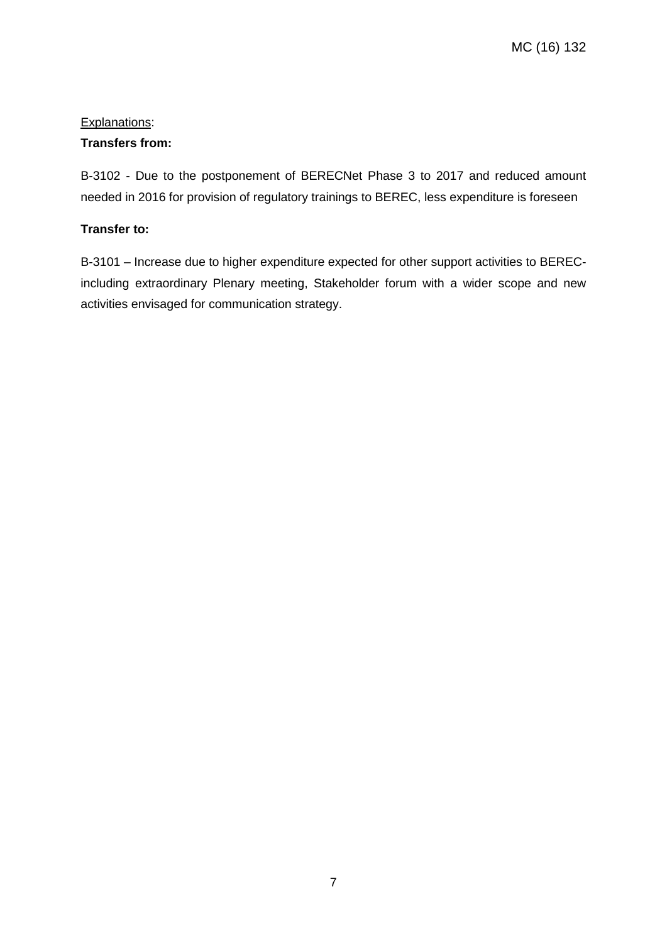# Explanations:

# **Transfers from:**

B-3102 - Due to the postponement of BERECNet Phase 3 to 2017 and reduced amount needed in 2016 for provision of regulatory trainings to BEREC, less expenditure is foreseen

## **Transfer to:**

B-3101 – Increase due to higher expenditure expected for other support activities to BERECincluding extraordinary Plenary meeting, Stakeholder forum with a wider scope and new activities envisaged for communication strategy.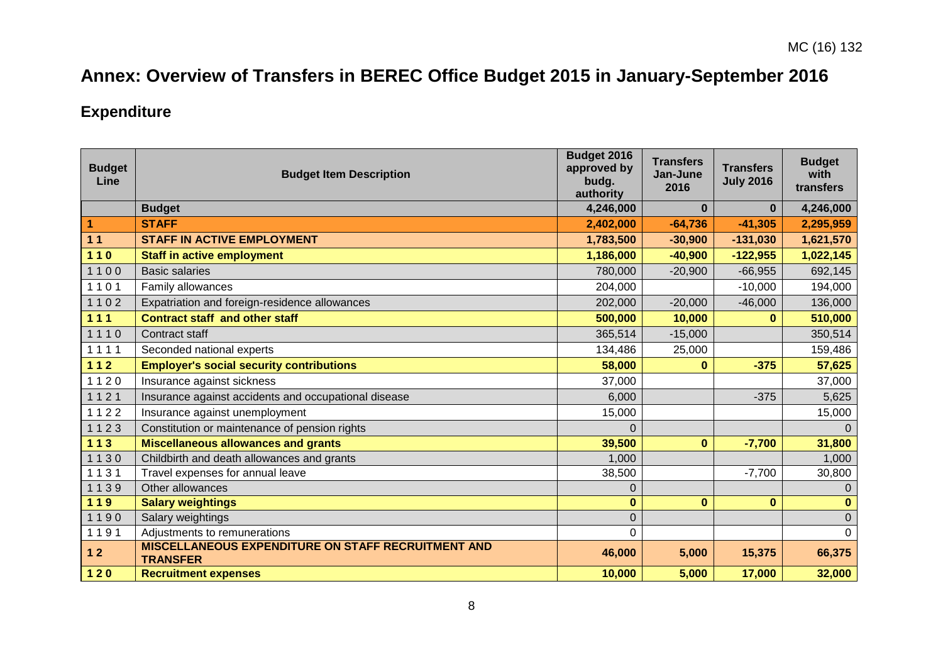# **Annex: Overview of Transfers in BEREC Office Budget 2015 in January-September 2016**

# **Expenditure**

| <b>Budget</b><br>Line | <b>Budget Item Description</b>                                               | Budget 2016<br>approved by<br>budg.<br>authority | <b>Transfers</b><br>Jan-June<br>2016 | <b>Transfers</b><br><b>July 2016</b> | <b>Budget</b><br>with<br>transfers |
|-----------------------|------------------------------------------------------------------------------|--------------------------------------------------|--------------------------------------|--------------------------------------|------------------------------------|
|                       | <b>Budget</b>                                                                | 4,246,000                                        | $\bf{0}$                             | $\bf{0}$                             | 4,246,000                          |
| $\blacktriangleleft$  | <b>STAFF</b>                                                                 | 2,402,000                                        | $-64,736$                            | $-41,305$                            | 2,295,959                          |
| 11                    | <b>STAFF IN ACTIVE EMPLOYMENT</b>                                            | 1,783,500                                        | $-30,900$                            | $-131,030$                           | 1,621,570                          |
| $110$                 | <b>Staff in active employment</b>                                            | 1,186,000                                        | $-40,900$                            | $-122,955$                           | 1,022,145                          |
| 1100                  | <b>Basic salaries</b>                                                        | 780,000                                          | $-20,900$                            | $-66,955$                            | 692,145                            |
| 1101                  | Family allowances                                                            | 204,000                                          |                                      | $-10,000$                            | 194,000                            |
| 1102                  | Expatriation and foreign-residence allowances                                | 202,000                                          | $-20,000$                            | $-46,000$                            | 136,000                            |
| 111                   | <b>Contract staff and other staff</b>                                        | 500,000                                          | 10,000                               | $\bf{0}$                             | 510,000                            |
| 1110                  | Contract staff                                                               | 365,514                                          | $-15,000$                            |                                      | 350,514                            |
| 1111                  | Seconded national experts                                                    | 134,486                                          | 25,000                               |                                      | 159,486                            |
| $112$                 | <b>Employer's social security contributions</b>                              | 58,000                                           | $\bf{0}$                             | $-375$                               | 57,625                             |
| 1120                  | Insurance against sickness                                                   | 37,000                                           |                                      |                                      | 37,000                             |
| 1121                  | Insurance against accidents and occupational disease                         | 6,000                                            |                                      | $-375$                               | 5,625                              |
| 1122                  | Insurance against unemployment                                               | 15,000                                           |                                      |                                      | 15,000                             |
| 1123                  | Constitution or maintenance of pension rights                                | $\Omega$                                         |                                      |                                      | $\Omega$                           |
| $113$                 | <b>Miscellaneous allowances and grants</b>                                   | 39,500                                           | $\mathbf{0}$                         | $-7,700$                             | 31,800                             |
| 1130                  | Childbirth and death allowances and grants                                   | 1,000                                            |                                      |                                      | 1,000                              |
| 1131                  | Travel expenses for annual leave                                             | 38,500                                           |                                      | $-7,700$                             | 30,800                             |
| 1139                  | Other allowances                                                             | $\mathbf 0$                                      |                                      |                                      | $\Omega$                           |
| 119                   | <b>Salary weightings</b>                                                     | $\bf{0}$                                         | $\bf{0}$                             | $\bf{0}$                             | $\bf{0}$                           |
| 1190                  | Salary weightings                                                            | $\mathbf 0$                                      |                                      |                                      | $\mathbf{0}$                       |
| 1191                  | Adjustments to remunerations                                                 | $\Omega$                                         |                                      |                                      | 0                                  |
| $12$                  | <b>MISCELLANEOUS EXPENDITURE ON STAFF RECRUITMENT AND</b><br><b>TRANSFER</b> | 46,000                                           | 5,000                                | 15,375                               | 66,375                             |
| $120$                 | <b>Recruitment expenses</b>                                                  | 10,000                                           | 5,000                                | 17,000                               | 32,000                             |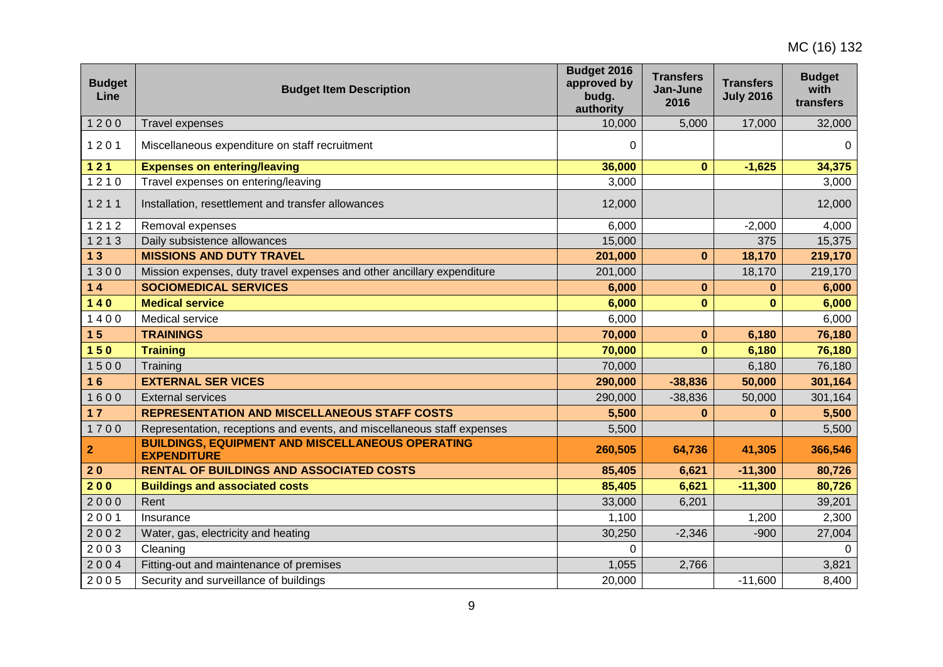| <b>Budget</b><br>Line | <b>Budget Item Description</b>                                                | Budget 2016<br>approved by<br>budg.<br>authority | <b>Transfers</b><br>Jan-June<br>2016 | <b>Transfers</b><br><b>July 2016</b> | <b>Budget</b><br>with<br>transfers |
|-----------------------|-------------------------------------------------------------------------------|--------------------------------------------------|--------------------------------------|--------------------------------------|------------------------------------|
| 1200                  | <b>Travel expenses</b>                                                        | 10,000                                           | 5,000                                | 17,000                               | 32,000                             |
| 1201                  | Miscellaneous expenditure on staff recruitment                                | 0                                                |                                      |                                      | $\Omega$                           |
| $121$                 | <b>Expenses on entering/leaving</b>                                           | 36,000                                           | $\mathbf{0}$                         | $-1,625$                             | 34,375                             |
| 1210                  | Travel expenses on entering/leaving                                           | 3,000                                            |                                      |                                      | 3,000                              |
| 1211                  | Installation, resettlement and transfer allowances                            | 12,000                                           |                                      |                                      | 12,000                             |
| 1212                  | Removal expenses                                                              | 6,000                                            |                                      | $-2,000$                             | 4,000                              |
| 1213                  | Daily subsistence allowances                                                  | 15,000                                           |                                      | 375                                  | 15,375                             |
| 13                    | <b>MISSIONS AND DUTY TRAVEL</b>                                               | 201,000                                          | $\mathbf{0}$                         | 18,170                               | 219,170                            |
| 1300                  | Mission expenses, duty travel expenses and other ancillary expenditure        | 201,000                                          |                                      | 18,170                               | 219,170                            |
| $14$                  | <b>SOCIOMEDICAL SERVICES</b>                                                  | 6,000                                            | $\mathbf{0}$                         | $\bf{0}$                             | 6,000                              |
| $140$                 | <b>Medical service</b>                                                        | 6,000                                            | $\mathbf{0}$                         | $\bf{0}$                             | 6,000                              |
| 1400                  | Medical service                                                               | 6,000                                            |                                      |                                      | 6,000                              |
| 15                    | <b>TRAININGS</b>                                                              | 70,000                                           | $\mathbf{0}$                         | 6,180                                | 76,180                             |
| 150                   | <b>Training</b>                                                               | 70,000                                           | $\mathbf{0}$                         | 6,180                                | 76,180                             |
| 1500                  | Training                                                                      | 70,000                                           |                                      | 6,180                                | 76,180                             |
| 16                    | <b>EXTERNAL SER VICES</b>                                                     | 290,000                                          | $-38,836$                            | 50,000                               | 301,164                            |
| 1600                  | <b>External services</b>                                                      | 290,000                                          | $-38,836$                            | 50,000                               | 301,164                            |
| $17$                  | <b>REPRESENTATION AND MISCELLANEOUS STAFF COSTS</b>                           | 5,500                                            | $\bf{0}$                             | $\bf{0}$                             | 5,500                              |
| 1700                  | Representation, receptions and events, and miscellaneous staff expenses       | 5,500                                            |                                      |                                      | 5,500                              |
| 2                     | <b>BUILDINGS, EQUIPMENT AND MISCELLANEOUS OPERATING</b><br><b>EXPENDITURE</b> | 260,505                                          | 64,736                               | 41,305                               | 366,546                            |
| 20                    | <b>RENTAL OF BUILDINGS AND ASSOCIATED COSTS</b>                               | 85,405                                           | 6,621                                | $-11,300$                            | 80,726                             |
| 200                   | <b>Buildings and associated costs</b>                                         | 85,405                                           | 6,621                                | $-11,300$                            | 80,726                             |
| 2000                  | Rent                                                                          | 33,000                                           | 6,201                                |                                      | 39,201                             |
| 2001                  | Insurance                                                                     | 1,100                                            |                                      | 1,200                                | 2,300                              |
| 2002                  | Water, gas, electricity and heating                                           | 30,250                                           | $-2,346$                             | $-900$                               | 27,004                             |
| 2003                  | Cleaning                                                                      | 0                                                |                                      |                                      | $\Omega$                           |
| 2004                  | Fitting-out and maintenance of premises                                       | 1,055                                            | 2,766                                |                                      | 3,821                              |
| 2005                  | Security and surveillance of buildings                                        | 20,000                                           |                                      | $-11,600$                            | 8,400                              |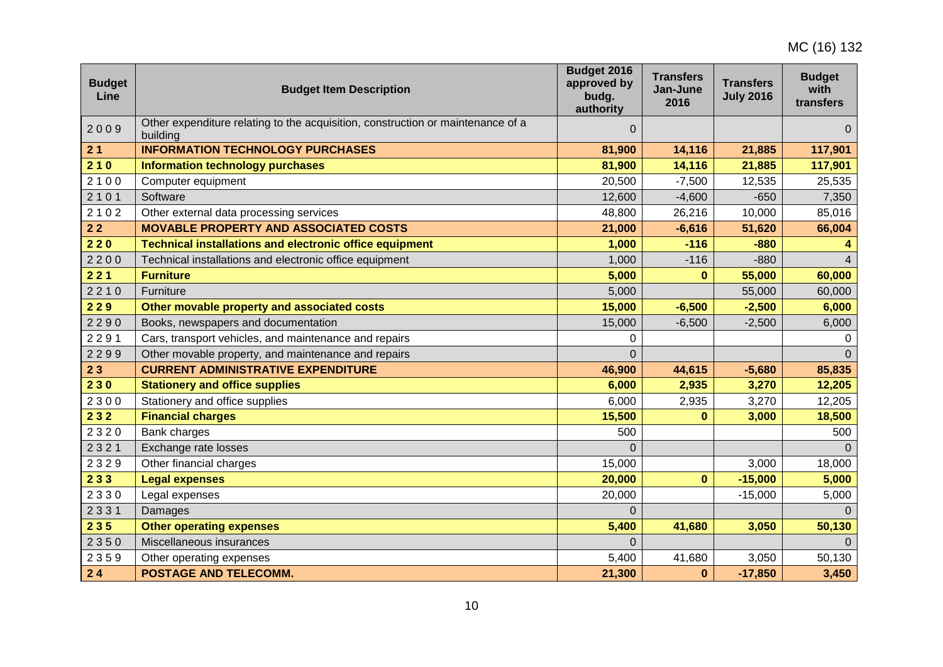| <b>Budget</b><br>Line | <b>Budget Item Description</b>                                                              | Budget 2016<br>approved by<br>budg.<br>authority | <b>Transfers</b><br>Jan-June<br>2016 | <b>Transfers</b><br><b>July 2016</b> | <b>Budget</b><br>with<br>transfers |
|-----------------------|---------------------------------------------------------------------------------------------|--------------------------------------------------|--------------------------------------|--------------------------------------|------------------------------------|
| 2009                  | Other expenditure relating to the acquisition, construction or maintenance of a<br>building | 0                                                |                                      |                                      | $\overline{0}$                     |
| 21                    | <b>INFORMATION TECHNOLOGY PURCHASES</b>                                                     | 81,900                                           | 14,116                               | 21,885                               | 117,901                            |
| 210                   | <b>Information technology purchases</b>                                                     | 81,900                                           | 14,116                               | 21,885                               | 117,901                            |
| 2100                  | Computer equipment                                                                          | 20,500                                           | $-7,500$                             | 12,535                               | 25,535                             |
| 2101                  | Software                                                                                    | 12,600                                           | $-4,600$                             | $-650$                               | 7,350                              |
| 2102                  | Other external data processing services                                                     | 48,800                                           | 26,216                               | 10,000                               | 85,016                             |
| 22                    | <b>MOVABLE PROPERTY AND ASSOCIATED COSTS</b>                                                | 21,000                                           | $-6,616$                             | 51,620                               | 66,004                             |
| 220                   | <b>Technical installations and electronic office equipment</b>                              | 1,000                                            | $-116$                               | $-880$                               |                                    |
| 2200                  | Technical installations and electronic office equipment                                     | 1,000                                            | $-116$                               | $-880$                               | $\overline{A}$                     |
| 221                   | <b>Furniture</b>                                                                            | 5,000                                            | $\mathbf{0}$                         | 55,000                               | 60,000                             |
| 2210                  | Furniture                                                                                   | 5,000                                            |                                      | 55,000                               | 60,000                             |
| 229                   | Other movable property and associated costs                                                 | 15,000                                           | $-6,500$                             | $-2,500$                             | 6,000                              |
| 2290                  | Books, newspapers and documentation                                                         | 15,000                                           | $-6,500$                             | $-2,500$                             | 6,000                              |
| 2291                  | Cars, transport vehicles, and maintenance and repairs                                       | 0                                                |                                      |                                      |                                    |
| 2299                  | Other movable property, and maintenance and repairs                                         | 0                                                |                                      |                                      | $\Omega$                           |
| 23                    | <b>CURRENT ADMINISTRATIVE EXPENDITURE</b>                                                   | 46,900                                           | 44,615                               | $-5,680$                             | 85,835                             |
| 230                   | <b>Stationery and office supplies</b>                                                       | 6,000                                            | 2,935                                | 3,270                                | 12,205                             |
| 2300                  | Stationery and office supplies                                                              | 6,000                                            | 2,935                                | 3,270                                | 12,205                             |
| 232                   | <b>Financial charges</b>                                                                    | 15,500                                           | $\mathbf{0}$                         | 3,000                                | 18,500                             |
| 2320                  | Bank charges                                                                                | 500                                              |                                      |                                      | 500                                |
| 2321                  | Exchange rate losses                                                                        | $\Omega$                                         |                                      |                                      | $\Omega$                           |
| 2329                  | Other financial charges                                                                     | 15,000                                           |                                      | 3,000                                | 18,000                             |
| 233                   | <b>Legal expenses</b>                                                                       | 20,000                                           | $\mathbf{0}$                         | $-15,000$                            | 5,000                              |
| 2330                  | Legal expenses                                                                              | 20,000                                           |                                      | $-15,000$                            | 5,000                              |
| 2331                  | Damages                                                                                     | $\Omega$                                         |                                      |                                      | $\Omega$                           |
| 235                   | <b>Other operating expenses</b>                                                             | 5,400                                            | 41,680                               | 3,050                                | 50,130                             |
| 2350                  | Miscellaneous insurances                                                                    | $\Omega$                                         |                                      |                                      |                                    |
| 2359                  | Other operating expenses                                                                    | 5,400                                            | 41,680                               | 3,050                                | 50,130                             |
| 24                    | <b>POSTAGE AND TELECOMM.</b>                                                                | 21,300                                           | $\bf{0}$                             | $-17,850$                            | 3,450                              |